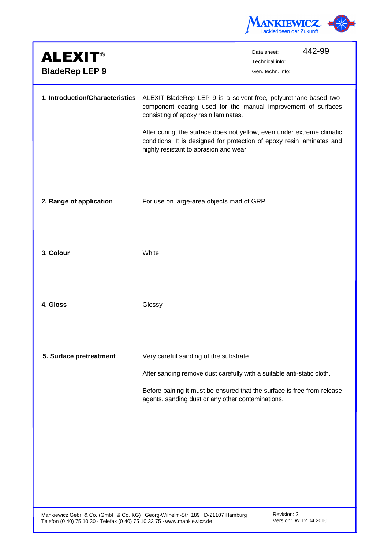

|                                                                                                                                                                       | 442-99<br>Data sheet:<br>Technical info:<br>Gen. techn. info:                                                                                                                                                     |
|-----------------------------------------------------------------------------------------------------------------------------------------------------------------------|-------------------------------------------------------------------------------------------------------------------------------------------------------------------------------------------------------------------|
| ALEXIT-BladeRep LEP 9 is a solvent-free, polyurethane-based two-<br>consisting of epoxy resin laminates.<br>highly resistant to abrasion and wear.                    | component coating used for the manual improvement of surfaces<br>After curing, the surface does not yellow, even under extreme climatic<br>conditions. It is designed for protection of epoxy resin laminates and |
| For use on large-area objects mad of GRP                                                                                                                              |                                                                                                                                                                                                                   |
| White                                                                                                                                                                 |                                                                                                                                                                                                                   |
| Glossy                                                                                                                                                                |                                                                                                                                                                                                                   |
| Very careful sanding of the substrate.<br>After sanding remove dust carefully with a suitable anti-static cloth.<br>agents, sanding dust or any other contaminations. | Before paining it must be ensured that the surface is free from release                                                                                                                                           |
|                                                                                                                                                                       | 1. Introduction/Characteristics                                                                                                                                                                                   |

Mankiewicz Gebr. & Co. (GmbH & Co. KG) ⋅ Georg-Wilhelm-Str. 189 ⋅ D-21107 Hamburg Telefon (0 40) 75 10 30 ⋅ Telefax (0 40) 75 10 33 75 ⋅ www.mankiewicz.de